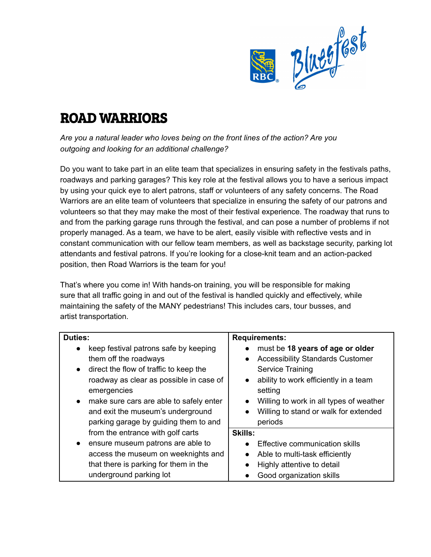

## ROAD WARRIORS

*Are you a natural leader who loves being on the front lines of the action? Are you outgoing and looking for an additional challenge?*

Do you want to take part in an elite team that specializes in ensuring safety in the festivals paths, roadways and parking garages? This key role at the festival allows you to have a serious impact by using your quick eye to alert patrons, staff or volunteers of any safety concerns. The Road Warriors are an elite team of volunteers that specialize in ensuring the safety of our patrons and volunteers so that they may make the most of their festival experience. The roadway that runs to and from the parking garage runs through the festival, and can pose a number of problems if not properly managed. As a team, we have to be alert, easily visible with reflective vests and in constant communication with our fellow team members, as well as backstage security, parking lot attendants and festival patrons. If you're looking for a close-knit team and an action-packed position, then Road Warriors is the team for you!

That's where you come in! With hands-on training, you will be responsible for making sure that all traffic going in and out of the festival is handled quickly and effectively, while maintaining the safety of the MANY pedestrians! This includes cars, tour busses, and artist transportation.

| <b>Duties:</b>                                       | <b>Requirements:</b>                                 |
|------------------------------------------------------|------------------------------------------------------|
| keep festival patrons safe by keeping<br>$\bullet$   | must be 18 years of age or older                     |
| them off the roadways                                | <b>Accessibility Standards Customer</b><br>$\bullet$ |
| direct the flow of traffic to keep the<br>$\bullet$  | <b>Service Training</b>                              |
| roadway as clear as possible in case of              | ability to work efficiently in a team<br>$\bullet$   |
| emergencies                                          | setting                                              |
| make sure cars are able to safely enter<br>$\bullet$ | Willing to work in all types of weather<br>$\bullet$ |
| and exit the museum's underground                    | Willing to stand or walk for extended<br>$\bullet$   |
| parking garage by guiding them to and                | periods                                              |
| from the entrance with golf carts                    | <b>Skills:</b>                                       |
| ensure museum patrons are able to<br>$\bullet$       | Effective communication skills<br>$\bullet$          |
| access the museum on weeknights and                  | Able to multi-task efficiently<br>$\bullet$          |
| that there is parking for them in the                | Highly attentive to detail<br>$\bullet$              |
| underground parking lot                              | Good organization skills                             |